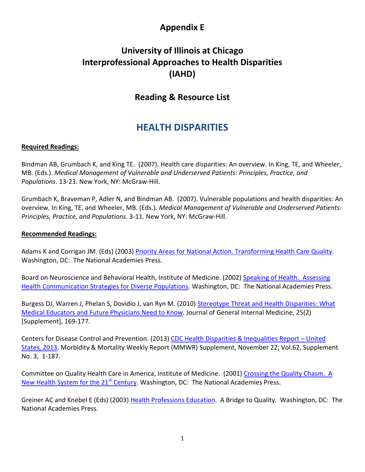# **Appendix E**

# **University of Illinois at Chicago Interprofessional Approaches to Health Disparities (IAHD)**

# **Reading & Resource List**

# **HEALTH DISPARITIES**

## **Required Readings:**

Bindman AB, Grumbach K, and King TE. (2007). Health care disparities: An overview. In King, TE, and Wheeler, MB. (Eds.). *Medical Management of Vulnerable and Underserved Patients: Principles, Practice, and Populations*. 13-23. New York, NY: McGraw-Hill.

Grumbach K, Braveman P, Adler N, and Bindman AB. (2007). Vulnerable populations and health disparities: An overview. In King, TE, and Wheeler, MB. (Eds.). *Medical Management of Vulnerable and Underserved Patients: Principles, Practice, and Populations*. 3-11. New York, NY: McGraw-Hill.

### **Recommended Readings:**

Adams K and Corrigan JM. (Eds) (2003) [Priority Areas for National Action. Transforming Health Care Quality.](http://www.nap.edu/openbook.php?record_id=10593) Washington, DC: The National Academies Press.

Board on Neuroscience and Behavioral Health, Institute of Medicine. (2002[\) Speaking of Health. Assessing](http://www.nap.edu/openbook.php?isbn=0309072719)  [Health Communication Strategies for Diverse Populations.](http://www.nap.edu/openbook.php?isbn=0309072719) Washington, DC: The National Academies Press.

Burgess DJ, Warren J, Phelan S, Dovidio J, van Ryn M. (2010) Stereotype Threat and Health Disparities: What [Medical Educators and Future Physicians Need to Know.](http://link.springer.com/article/10.1007/s11606-009-1221-4) Journal of General Internal Medicine, 25(2) [Supplement], 169-177.

Centers for Disease Control and Prevention. (2013[\) CDC Health Disparities & Inequalities Report –](http://www.cdc.gov/mmwr/pdf/other/su6203.pdf) United [States, 2013.](http://www.cdc.gov/mmwr/pdf/other/su6203.pdf) Morbidity & Mortality Weekly Report (MMWR) Supplement, November 22; Vol.62, Supplement No. 3, 1-187.

Committee on Quality Health Care in America, Institute of Medicine. (2001) Crossing the Quality Chasm. A [New Health System for the 21](http://www.nap.edu/openbook.php?record_id=10027&page=R1)<sup>st</sup> Century. Washington, DC: The National Academies Press.

Greiner AC and Knebel E (Eds) (2003) [Health Professions Education.](http://www.nap.edu/openbook.php?record_id=10681) A Bridge to Quality. Washington, DC: The National Academies Press.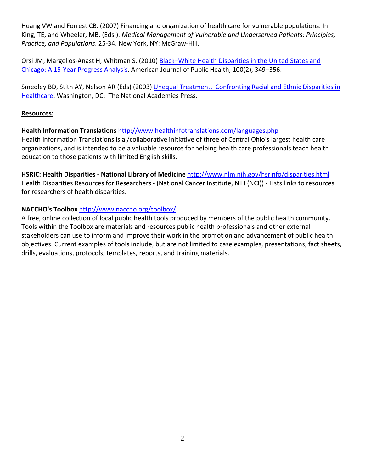Huang VW and Forrest CB. (2007) Financing and organization of health care for vulnerable populations. In King, TE, and Wheeler, MB. (Eds.). *Medical Management of Vulnerable and Underserved Patients: Principles, Practice, and Populations*. 25-34. New York, NY: McGraw-Hill.

Orsi JM, Margellos-Anast H, Whitman S. (2010) [Black–White Health Disparities in the United States and](http://www.ncbi.nlm.nih.gov/pmc/articles/PMC2804622/)  [Chicago: A 15-Year Progress Analysis.](http://www.ncbi.nlm.nih.gov/pmc/articles/PMC2804622/) American Journal of Public Health, 100(2), 349–356.

Smedley BD, Stith AY, Nelson AR (Eds) (2003) Unequal Treatment. Confronting Racial and Ethnic Disparities in [Healthcare.](http://www.nap.edu/openbook.php?record_id=12875&page=R1) Washington, DC: The National Academies Press.

### **Resources:**

## **Health Information Translations** <http://www.healthinfotranslations.com/languages.php>

Health Information Translations is a /collaborative initiative of three of Central Ohio's largest health care organizations, and is intended to be a valuable resource for helping health care professionals teach health education to those patients with limited English skills.

**HSRIC: Health Disparities - National Library of Medicine** <http://www.nlm.nih.gov/hsrinfo/disparities.html> Health Disparities Resources for Researchers - (National Cancer Institute, NIH (NCI)) - Lists links to resources for researchers of health disparities.

## **NACCHO's Toolbox** <http://www.naccho.org/toolbox/>

A free, online collection of local public health tools produced by members of the public health community. Tools within the Toolbox are materials and resources public health professionals and other external stakeholders can use to inform and improve their work in the promotion and advancement of public health objectives. Current examples of tools include, but are not limited to case examples, presentations, fact sheets, drills, evaluations, protocols, templates, reports, and training materials.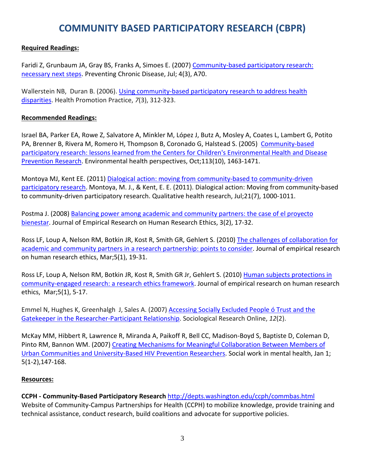# **COMMUNITY BASED PARTICIPATORY RESEARCH (CBPR)**

## **Required Readings:**

Faridi Z, Grunbaum JA, Gray BS, Franks A, Simoes E. (2007) [Community-based](http://www.cdc.gov/pcd/issues/2007/jul/06_0182.htm?email=Insert+e-mail) participatory research: [necessary](http://www.cdc.gov/pcd/issues/2007/jul/06_0182.htm?email=Insert+e-mail) next steps. Preventing Chronic Disease, Jul; 4(3), A70.

Wallerstein NB, Duran B. (2006). Using community-based participatory research to address health [disparities.](http://hpp.sagepub.com/content/7/3/312.short) Health Promotion Practice, *7*(3), 312-323.

### **Recommended Readings:**

Israel BA, Parker EA, Rowe Z, Salvatore A, Minkler M, López J, Butz A, Mosley A, Coates L, Lambert G, Potito PA, Brenner B, Rivera M, Romero H, Thompson B, Coronado G, Halstead S. (2005) [Community-based](http://www.jstor.org/stable/3436118) participatory research: lessons learned from the Centers for Children's [Environmental](http://www.jstor.org/stable/3436118) Health and Disease [Prevention](http://www.jstor.org/stable/3436118) Research. Environmental health perspectives, Oct;113(10), 1463-1471.

Montoya MJ, Kent EE. (2011) Dialogical action: moving from community-based to [community-driven](http://qhr.sagepub.com/content/early/2011/03/31/1049732311403500.abstract?rss=1) [participatory](http://qhr.sagepub.com/content/early/2011/03/31/1049732311403500.abstract?rss=1) research. Montoya, M. J., & Kent, E. E. (2011). Dialogical action: Moving from community-based to community-driven participatory research. Qualitative health research, Jul;21(7), 1000-1011.

Postma J. (2008) [Balancing power among academic and community partners: the](http://www.jstor.org/stable/10.1525/jer.2008.3.2.17) case of el proyecto [bienestar.](http://www.jstor.org/stable/10.1525/jer.2008.3.2.17) Journal of Empirical Research on Human Research Ethics, 3(2), 17-32.

Ross LF, Loup A, Nelson RM, Botkin JR, Kost R, Smith GR, Gehlert S. (2010) [The challenges of collaboration for](http://www.ncbi.nlm.nih.gov/pmc/articles/PMC2946316/)  [academic and community partners in a research partnership: points to consider.](http://www.ncbi.nlm.nih.gov/pmc/articles/PMC2946316/) Journal of empirical research on human research ethics, Mar;5(1), 19-31.

Ross LF, Loup A, Nelson RM, Botkin JR, Kost R, Smith GR Jr, Gehlert S. (2010) Human subjects protections in [community-engaged research: a research ethics framework.](http://www.ncbi.nlm.nih.gov/pmc/articles/PMC2946318/) Journal of empirical research on human research ethics, Mar;5(1), 5-17.

Emmel N, Hughes K, Greenhalgh J, Sales A. (2007) [Accessing Socially Excluded People ó Trust and the](http://www.socresonline.org.uk/12/2/emmel.html)  [Gatekeeper in the Researcher-Participant Relationship.](http://www.socresonline.org.uk/12/2/emmel.html) Sociological Research Online, *12*(2).

McKay MM, Hibbert R, Lawrence R, Miranda A, Paikoff R, Bell CC, Madison-Boyd S, Baptiste D, Coleman D, Pinto RM, Bannon WM. (2007) Creating Mechanisms for Meaningful [Collaboration](http://www.ncbi.nlm.nih.gov/pmc/articles/PMC3859342/) Between Members of Urban Communities and [University-Based](http://www.ncbi.nlm.nih.gov/pmc/articles/PMC3859342/) HIV Prevention Researchers. Social work in mental health, Jan 1; 5(1-2),147-168.

### **Resources:**

**CCPH - Community-Based Participatory Research** <http://depts.washington.edu/ccph/commbas.html> Website of Community-Campus Partnerships for Health (CCPH) to mobilize knowledge, provide training and technical assistance, conduct research, build coalitions and advocate for supportive policies.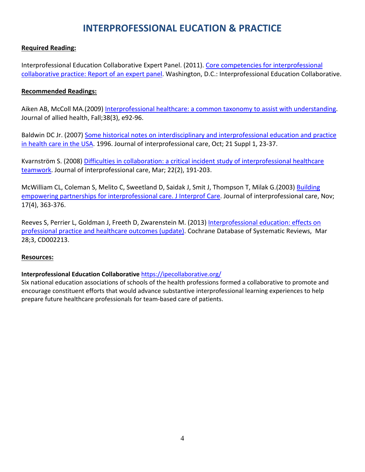# **INTERPROFESSIONAL EUCATION & PRACTICE**

### **Required Reading:**

Interprofessional Education Collaborative Expert Panel. (2011). Core competencies for interprofessional [collaborative practice: Report of an expert panel.](http://www.aacn.nche.edu/education-resources/ipecreport.pdf) Washington, D.C.: Interprofessional Education Collaborative.

### **Recommended Readings:**

Aiken AB, McColl MA.(2009) [Interprofessional healthcare: a common taxonomy to assist with understanding.](http://www.ingentaconnect.com/content/asahp/jah/2009/00000038/00000003/art00013?token=005616de93968667232d45232b4524246a4d3b2063213e6b3568293c62207d673f582f6bdd45c1d8fcbc78) Journal of allied health, Fall;38(3), e92-96.

Baldwin DC Jr. (2007) Some historical notes on interdisciplinary and [interprofessional](http://informahealthcare.com/doi/abs/10.1080/13561820701594728) education and practice in [health](http://informahealthcare.com/doi/abs/10.1080/13561820701594728) care in the USA. 1996. Journal of interprofessional care, Oct; 21 Suppl 1, 23-37.

Kvarnström S. (2008) [Difficulties in collaboration: a critical incident study of interprofessional healthcare](http://informahealthcare.com/doi/abs/10.1080/13561820701760600)  [teamwork.](http://informahealthcare.com/doi/abs/10.1080/13561820701760600) Journal of interprofessional care, Mar; 22(2), 191-203.

McWilliam CL, Coleman S, Melito C, Sweetland D, Saidak J, Smit J, Thompson T, Milak G.(2003) [Building](http://informahealthcare.com/doi/abs/10.1080/13561820310001608195)  empowering partnerships [for interprofessional care. J Interprof Care.](http://informahealthcare.com/doi/abs/10.1080/13561820310001608195) Journal of interprofessional care, Nov; 17(4), 363-376.

Reeves S, Perrier L, Goldman J, Freeth D, Zwarenstein M. (2013) [Interprofessional](http://onlinelibrary.wiley.com/doi/10.1002/14651858.CD002213.pub3/pdf/) education: effects on [professional](http://onlinelibrary.wiley.com/doi/10.1002/14651858.CD002213.pub3/pdf/) practice and healthcare outcomes (update). Cochrane Database of Systematic Reviews, Mar 28;3, CD002213.

### **Resources:**

### **Interprofessional Education Collaborative** <https://ipecollaborative.org/>

Six national education associations of schools of the health professions formed a collaborative to promote and encourage constituent efforts that would advance substantive interprofessional learning experiences to help prepare future healthcare professionals for team-based care of patients.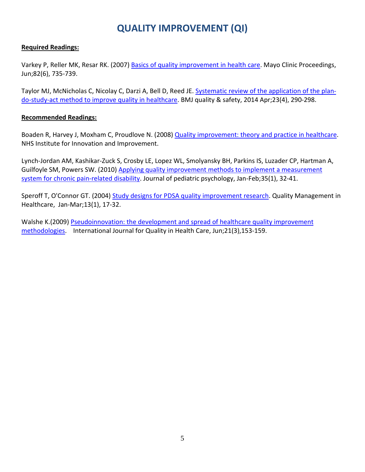# **QUALITY IMPROVEMENT (QI)**

### **Required Readings:**

Varkey P, Reller MK, Resar RK. (2007) [Basics of quality improvement in health care.](http://www.sciencedirect.com/science/article/pii/S0025619611611944) Mayo Clinic Proceedings, Jun;82(6), 735-739.

Taylor MJ, McNicholas C, Nicolay C, Darzi A, Bell D, Reed JE. [Systematic review of the application of the plan](http://qualitysafety.bmj.com/content/early/2013/09/11/bmjqs-2013-001862.full.pdf+html)[do-study-act method to improve quality in healthcare.](http://qualitysafety.bmj.com/content/early/2013/09/11/bmjqs-2013-001862.full.pdf+html) BMJ quality & safety, 2014 Apr;23(4), 290-298.

### **Recommended Readings:**

Boaden R, Harvey J, Moxham C, Proudlove N. (2008) [Quality improvement: theory and practice in healthcare.](http://changeday.nhs.uk/files/Quality_Improvement-Theory_and_Practice_in_Healthcare.pdf) NHS Institute for Innovation and Improvement.

Lynch-Jordan AM, Kashikar-Zuck S, Crosby LE, Lopez WL, Smolyansky BH, Parkins IS, Luzader CP, Hartman A, Guilfoyle SM, Powers SW. (2010[\) Applying quality improvement methods to implement a measurement](http://jpepsy.oxfordjournals.org/content/35/1/32.full)  [system for chronic pain-related disability.](http://jpepsy.oxfordjournals.org/content/35/1/32.full) Journal of pediatric psychology, Jan-Feb;35(1), 32-41.

Speroff T, O'Connor GT. (2004) [Study designs for PDSA quality improvement research.](http://innovationlabs.com/r3p_public/rtr3/pre/pre-read/PDSA%20QI%20Research.Speroff.2004.pdf) Quality Management in Healthcare, Jan-Mar;13(1), 17-32.

Walshe K.(2009) [Pseudoinnovation: the development and spread of healthcare quality improvement](http://intqhc.oxfordjournals.org/content/early/2009/04/21/intqhc.mzp012.short) [methodologies.](http://intqhc.oxfordjournals.org/content/early/2009/04/21/intqhc.mzp012.short) International Journal for Quality in Health Care, Jun;21(3),153-159.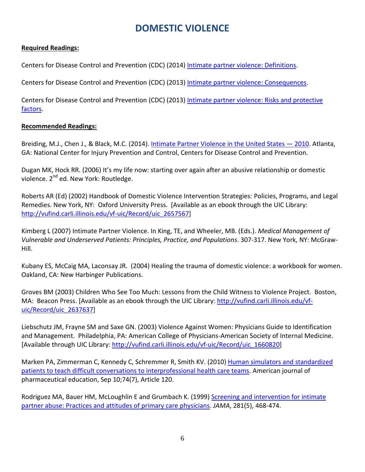# **DOMESTIC VIOLENCE**

## **Required Readings:**

Centers for Disease Control and Prevention (CDC) (2014) [Intimate partner violence: Definitions.](http://www.cdc.gov/ViolencePrevention/intimatepartnerviolence/definitions.html)

Centers for Disease Control and Prevention (CDC) (2013) [Intimate partner violence: Consequences.](http://www.cdc.gov/ViolencePrevention/intimatepartnerviolence/consequences.html)

Centers for Disease Control and Prevention (CDC) (2013) Intimate partner violence: Risks and protective [factors.](http://www.cdc.gov/ViolencePrevention/intimatepartnerviolence/riskprotectivefactors.html)

### **Recommended Readings:**

Breiding, M.J., Chen J., & Black, M.C. (2014). [Intimate Partner Violence in the United States —](http://www.cdc.gov/violenceprevention/pdf/cdc_nisvs_ipv_report_2013_v17_single_a.pdf) 2010. Atlanta, GA: National Center for Injury Prevention and Control, Centers for Disease Control and Prevention.

Dugan MK, Hock RR. (2006) It's my life now: starting over again after an abusive relationship or domestic violence. 2<sup>nd</sup> ed. New York: Routledge.

Roberts AR (Ed) (2002) Handbook of Domestic Violence Intervention Strategies: Policies, Programs, and Legal Remedies. New York, NY: Oxford University Press. [Available as an ebook through the UIC Library: [http://vufind.carli.illinois.edu/vf-uic/Record/uic\\_2657567\]](http://vufind.carli.illinois.edu/vf-uic/Record/uic_2657567)

Kimberg L (2007) Intimate Partner Violence. In King, TE, and Wheeler, MB. (Eds.). *Medical Management of Vulnerable and Underserved Patients: Principles, Practice, and Populations*. 307-317. New York, NY: McGraw-Hill.

Kubany ES, McCaig MA, Laconsay JR. (2004) Healing the trauma of domestic violence: a workbook for women. Oakland, CA: New Harbinger Publications.

Groves BM (2003) Children Who See Too Much: Lessons from the Child Witness to Violence Project. Boston, MA: Beacon Press. [Available as an ebook through the UIC Library: [http://vufind.carli.illinois.edu/vf](http://vufind.carli.illinois.edu/vf-uic/Record/uic_2637637)[uic/Record/uic\\_2637637\]](http://vufind.carli.illinois.edu/vf-uic/Record/uic_2637637)

Liebschutz JM, Frayne SM and Saxe GN. (2003) Violence Against Women: Physicians Guide to Identification and Management. Philadelphia, PA: American College of Physicians-American Society of Internal Medicine. [Available through UIC Library: [http://vufind.carli.illinois.edu/vf-uic/Record/uic\\_1660820\]](http://vufind.carli.illinois.edu/vf-uic/Record/uic_1660820)

Marken PA, Zimmerman C, Kennedy C, Schremmer R, Smith KV. (2010) [Human simulators and standardized](http://www.ncbi.nlm.nih.gov/pmc/articles/PMC2972514/)  [patients to teach difficult conversations to interprofessional health care](http://www.ncbi.nlm.nih.gov/pmc/articles/PMC2972514/) teams. American journal of pharmaceutical education, Sep 10;74(7), Article 120.

Rodriguez MA, Bauer HM, McLoughlin E and Grumbach K. (1999) [Screening and intervention for intimate](http://jama.jamanetwork.com/article.aspx?articleid=190985) [partner abuse: Practices and attitudes of primary care physicians.](http://jama.jamanetwork.com/article.aspx?articleid=190985) *JAMA*, 281(5), 468-474.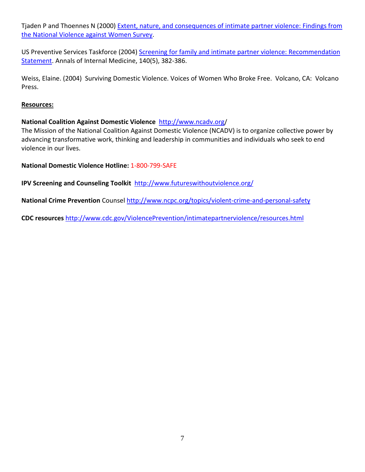Tjaden P and Thoennes N (2000) [Extent, nature, and consequences of intimate partner violence: Findings from](http://www.ncjrs.gov/pdffiles1/nij/181867.pdf)  [the National Violence against Women Survey.](http://www.ncjrs.gov/pdffiles1/nij/181867.pdf)

US Preventive Services Taskforce (2004) Screening for family and intimate partner violence: Recommendation [Statement.](http://annals.org/article.aspx?articleid=717259) Annals of Internal Medicine, 140(5), 382-386.

Weiss, Elaine. (2004) Surviving Domestic Violence. Voices of Women Who Broke Free. Volcano, CA: Volcano Press.

### **Resources:**

## **National Coalition Against Domestic Violence** <http://www.ncadv.org/>

The Mission of the National Coalition Against Domestic Violence (NCADV) is to organize collective power by advancing transformative work, thinking and leadership in communities and individuals who seek to end violence in our lives.

### **National Domestic Violence Hotline:** 1-800-799-SAFE

**IPV Screening and Counseling Toolkit** <http://www.futureswithoutviolence.org/>

**National Crime Prevention** Counsel<http://www.ncpc.org/topics/violent-crime-and-personal-safety>

**CDC resources** <http://www.cdc.gov/ViolencePrevention/intimatepartnerviolence/resources.html>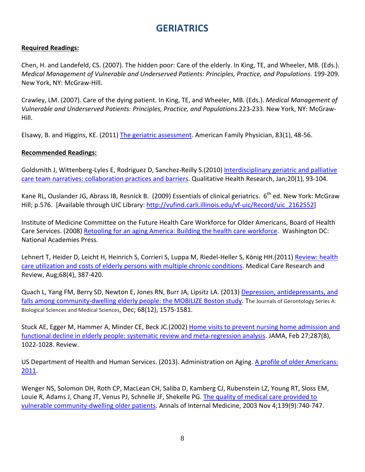# **GERIATRICS**

### **Required Readings:**

Chen, H. and Landefeld, CS. (2007). The hidden poor: Care of the elderly. In King, TE, and Wheeler, MB. (Eds.). *Medical Management of Vulnerable and Underserved Patients: Principles, Practice, and Populations*. 199-209. New York, NY: McGraw-Hill.

Crawley, LM. (2007). Care of the dying patient. In King, TE, and Wheeler, MB. (Eds.). *Medical Management of Vulnerable and Underserved Patients: Principles, Practice, and Populations*.223-233. New York, NY: McGraw-Hill.

Elsawy, B. and Higgins, KE. (2011) [The geriatric assessment.](http://med-docs.creighton.edu/Departments/Family_Medicine/StudentPDFs/p48.pdf) American Family Physician, 83(1), 48-56.

### **Recommended Readings:**

Goldsmith J, Wittenberg-Lyles E, Rodriguez D, Sanchez-Reilly S.(2010) [Interdisciplinary geriatric and palliative](http://qhr.sagepub.com/content/20/1/93.full.pdf)  [care team narratives: collaboration practices and barriers.](http://qhr.sagepub.com/content/20/1/93.full.pdf) Qualitative Health Research, Jan;20(1), 93-104.

Kane RL, Ouslander JG, Abrass IB, Resnick B. (2009) Essentials of clinical geriatrics. 6<sup>th</sup> ed. New York: McGraw Hill; p.576. [Available through UIC Library[: http://vufind.carli.illinois.edu/vf-uic/Record/uic\\_2162552\]](http://vufind.carli.illinois.edu/vf-uic/Record/uic_2162552)

Institute of Medicine Committee on the Future Health Care Workforce for Older Americans, Board of Health Care Services. (2008[\) Retooling for an aging America: Building the health care workforce.](http://books.nap.edu/openbook.php?record_id=12089) Washington DC: National Academies Press.

Lehnert T, Heider D, Leicht H, Heinrich S, Corrieri S, Luppa M, Riedel-Heller S, König HH.(2011) [Review: health](http://mcr.sagepub.com/content/68/4/387.full.pdf)  [care utilization and costs of elderly persons with multiple chronic conditions.](http://mcr.sagepub.com/content/68/4/387.full.pdf) Medical Care Research and Review, Aug;68(4), 387-420.

Quach L, Yang FM, Berry SD, Newton E, Jones RN, Burr JA, Lipsitz LA. (2013) [Depression, antidepressants, and](http://biomedgerontology.oxfordjournals.org/content/early/2013/06/28/gerona.glt084.short)  [falls among community-dwelling elderly people: the MOBILIZE Boston study.](http://biomedgerontology.oxfordjournals.org/content/early/2013/06/28/gerona.glt084.short) The Journals of Gerontology Series A: Biological Sciences and Medical Sciences, Dec; 68(12), 1575-1581.

Stuck AE, Egger M, Hammer A, Minder CE, Beck JC.(2002) [Home visits to prevent nursing home admission and](http://www.rgps.on.ca/files/Homevisitstopreventnursinghomeadmission.pdf)  [functional decline in elderly people: systematic review and meta-regression analysis.](http://www.rgps.on.ca/files/Homevisitstopreventnursinghomeadmission.pdf) JAMA, Feb 27;287(8), 1022-1028. Review.

US Department of Health and Human Services. (2013). Administration on Aging. [A profile of older Americans:](http://www.aoa.gov/aoaroot/aging_statistics/Profile/2011/docs/2011profile.pdf)  [2011.](http://www.aoa.gov/aoaroot/aging_statistics/Profile/2011/docs/2011profile.pdf)

Wenger NS, Solomon DH, Roth CP, MacLean CH, Saliba D, Kamberg CJ, Rubenstein LZ, Young RT, Sloss EM, Louie R, Adams J, Chang JT, Venus PJ, Schnelle JF, Shekelle PG. [The quality of medical care provided to](http://www.communibuild.com/ahrq/wp-content/uploads/2006/08/qualityofcareelders.pdf)  [vulnerable community-dwelling older patients.](http://www.communibuild.com/ahrq/wp-content/uploads/2006/08/qualityofcareelders.pdf) Annals of Internal Medicine, 2003 Nov 4;139(9):740-747.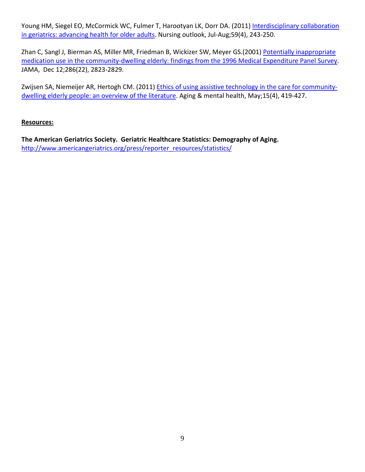Young HM, Siegel EO, McCormick WC, Fulmer T, Harootyan LK, Dorr DA. (2011) Interdisciplinary collaboration [in geriatrics: advancing health for older adults.](http://www.sciencedirect.com/science/article/pii/S0029655411001679) Nursing outlook, Jul-Aug;59(4), 243-250.

Zhan C, Sangl J, Bierman AS, Miller MR, Friedman B, Wickizer SW, Meyer GS.(2001) Potentially inappropriate [medication use in the community-dwelling elderly: findings from the 1996 Medical Expenditure Panel Survey.](http://faculty.ksu.edu.sa/hisham/Documents/Stud_Research/Zhan2.pdf) JAMA, Dec 12;286(22), 2823-2829.

Zwijsen SA, Niemeijer AR, Hertogh CM. (2011[\) Ethics of using assistive technology in the care for community](http://www.tandfonline.com/doi/abs/10.1080/13607863.2010.543662%23.VAiOrfldXxo)dwelling elderly people: an overview of the literature</u>. Aging & mental health, May;15(4), 419-427.

### **Resources:**

**The American Geriatrics Society. Geriatric Healthcare Statistics: Demography of Aging.**  [http://www.americangeriatrics.org/press/reporter\\_resources/statistics/](http://www.americangeriatrics.org/press/reporter_resources/statistics/)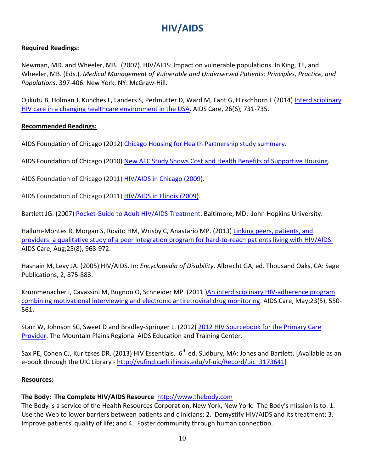# **HIV/AIDS**

# **Required Readings:**

Newman, MD. and Wheeler, MB. (2007). HIV/AIDS: Impact on vulnerable populations. In King, TE, and Wheeler, MB. (Eds.). *Medical Management of Vulnerable and Underserved Patients: Principles, Practice, and Populations*. 397-406. New York, NY: McGraw-Hill.

Ojikutu B, Holman J, Kunches L, Landers S, Perlmutter D, Ward M, Fant G, Hirschhorn L (2014) [Interdisciplinary](http://www.tandfonline.com/doi/pdf/10.1080/09540121.2013.855299)  [HIV care in a changing healthcare environment in the USA.](http://www.tandfonline.com/doi/pdf/10.1080/09540121.2013.855299) AIDS Care, 26(6), 731-735.

### **Recommended Readings:**

AIDS Foundation of Chicago (2012) [Chicago Housing for Health Partnership study summary.](http://www.aidschicago.org/pdf/2012/chhp_data_sheet_2012.pdf)

AIDS Foundation of Chicago (2010) [New AFC Study Shows Cost and Health Benefits of Supportive Housing.](http://www.aidschicago.org/housing-home/chhp)

AIDS Foundation of Chicago (2011) [HIV/AIDS in Chicago \(2009\).](http://aidschicago.org/pdf/chicago_factsheet_2010.pdf)

AIDS Foundation of Chicago (2011) [HIV/AIDS in Illinois \(2009\).](http://aidschicago.org/pdf/illinois_factsheet_2010.pdf)

Bartlett JG. (2007) [Pocket Guide to Adult HIV/AIDS Treatment.](ftp://ftp.hrsa.gov/hab/PktG06intro.pdf) Baltimore, MD: John Hopkins University.

Hallum-Montes R, Morgan S, Rovito HM, Wrisby C, Anastario MP. (2013) [Linking peers, patients, and](http://www.tandfonline.com/doi/full/10.1080/09540121.2012.748869%23.VAnVRvldXxo)  [providers: a qualitative study of a peer integration program for hard-to-reach patients living with HIV/AIDS.](http://www.tandfonline.com/doi/full/10.1080/09540121.2012.748869%23.VAnVRvldXxo) AIDS Care, Aug;25(8), 968-972.

Hasnain M, Levy JA. (2005) HIV/AIDS. In: *Encyclopedia of Disability*. Albrecht GA, ed. Thousand Oaks, CA: Sage Publications, 2, 875-883.

Krummenacher I, Cavassini M, Bugnon O, Schneider MP. (2011 [\)An interdisciplinary HIV-adherence program](http://www.tandfonline.com/doi/full/10.1080/09540121.2010.525613%23.VAnVkvldXxo)  [combining motivational interviewing and electronic antiretroviral drug monitoring.](http://www.tandfonline.com/doi/full/10.1080/09540121.2010.525613%23.VAnVkvldXxo) AIDS Care, May;23(5), 550- 561.

Starr W, Johnson SC, Sweet D and Bradley-Springer L. (2012) [2012 HIV Sourcebook for the Primary Care](http://www.kaetc.org/2012HIVSourcebookForWeb.pdf)  [Provider.](http://www.kaetc.org/2012HIVSourcebookForWeb.pdf) The Mountain Plains Regional AIDS Education and Training Center.

Sax PE, Cohen CJ, Kuritzkes DR. (2013) HIV Essentials. 6<sup>th</sup> ed. Sudbury, MA: Jones and Bartlett. [Available as an e-book through the UIC Library - [http://vufind.carli.illinois.edu/vf-uic/Record/uic\\_3173641\]](http://vufind.carli.illinois.edu/vf-uic/Record/uic_3173641)

### **Resources:**

# **The Body: The Complete HIV/AIDS Resource** [http://www.thebody.com](http://www.thebody.com/)

The Body is a service of the Health Resources Corporation, New York, New York. The Body's mission is to: 1. Use the Web to lower barriers between patients and clinicians; 2. Demystify HIV/AIDS and its treatment; 3. Improve patients' quality of life; and 4. Foster community through human connection.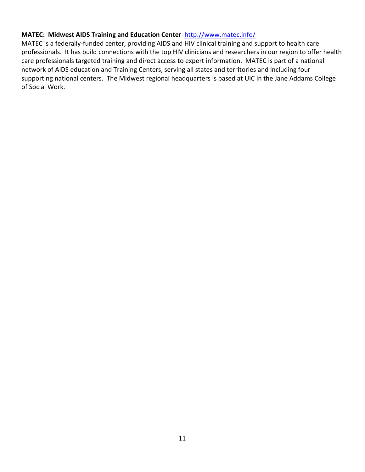### **MATEC: Midwest AIDS Training and Education Center** <http://www.matec.info/>

MATEC is a federally-funded center, providing AIDS and HIV clinical training and support to health care professionals. It has build connections with the top HIV clinicians and researchers in our region to offer health care professionals targeted training and direct access to expert information. MATEC is part of a national network of AIDS education and Training Centers, serving all states and territories and including four supporting national centers. The Midwest regional headquarters is based at UIC in the Jane Addams College of Social Work.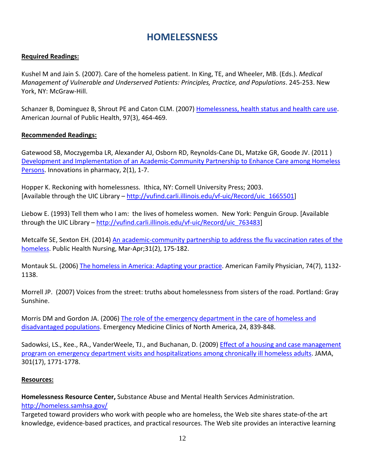# **HOMELESSNESS**

### **Required Readings:**

Kushel M and Jain S. (2007). Care of the homeless patient. In King, TE, and Wheeler, MB. (Eds.). *Medical Management of Vulnerable and Underserved Patients: Principles, Practice, and Populations*. 245-253. New York, NY: McGraw-Hill.

Schanzer B, Dominguez B, Shrout PE and Caton CLM. (2007) [Homelessness, health status and health care use.](http://www.ncbi.nlm.nih.gov/pmc/articles/PMC1805022/) American Journal of Public Health, 97(3), 464-469.

### **Recommended Readings:**

Gatewood SB, Moczygemba LR, Alexander AJ, Osborn RD, Reynolds-Cane DL, Matzke GR, Goode JV. (2011 ) [Development and Implementation of an Academic-Community Partnership to Enhance Care among Homeless](http://www.ncbi.nlm.nih.gov/pmc/articles/PMC3258539/)  [Persons.](http://www.ncbi.nlm.nih.gov/pmc/articles/PMC3258539/) Innovations in pharmacy, 2(1), 1-7.

Hopper K. Reckoning with homelessness. Ithica, NY: Cornell University Press; 2003. [Available through the UIC Library – [http://vufind.carli.illinois.edu/vf-uic/Record/uic\\_1665501\]](http://vufind.carli.illinois.edu/vf-uic/Record/uic_1665501)

Liebow E. (1993) Tell them who I am: the lives of homeless women. New York: Penguin Group. [Available through the UIC Library – [http://vufind.carli.illinois.edu/vf-uic/Record/uic\\_763483\]](http://vufind.carli.illinois.edu/vf-uic/Record/uic_763483)

Metcalfe SE, Sexton EH. (2014[\) An academic-community partnership to address the flu vaccination rates of the](http://onlinelibrary.wiley.com/doi/10.1111/phn.12088/full)  [homeless.](http://onlinelibrary.wiley.com/doi/10.1111/phn.12088/full) Public Health Nursing, Mar-Apr;31(2), 175-182.

Montauk SL. (2006) [The homeless in America: Adapting your practice.](http://cms.cerritos.edu/uploads/cmaldonado/homelesschangingyourpractice.pdf) American Family Physician, 74(7), 1132- 1138.

Morrell JP. (2007) Voices from the street: truths about homelessness from sisters of the road. Portland: Gray Sunshine.

Morris DM and Gordon JA. (2006) [The role of the emergency department in the care of homeless and](http://www.sciencedirect.com/science/article/pii/S0733862706000563)  [disadvantaged populations.](http://www.sciencedirect.com/science/article/pii/S0733862706000563) Emergency Medicine Clinics of North America, 24, 839-848.

Sadowksi, LS., Kee., RA., VanderWeele, TJ., and Buchanan, D. (2009) [Effect of a housing and case management](http://jama.jamanetwork.com/article.aspx?articleid=183842)  [program on emergency department visits and hospitalizations among chronically ill homeless adults.](http://jama.jamanetwork.com/article.aspx?articleid=183842) JAMA, 301(17), 1771-1778.

#### **Resources:**

**Homelessness Resource Center,** Substance Abuse and Mental Health Services Administration.

### <http://homeless.samhsa.gov/>

Targeted toward providers who work with people who are homeless, the Web site shares state-of-the art knowledge, evidence-based practices, and practical resources. The Web site provides an interactive learning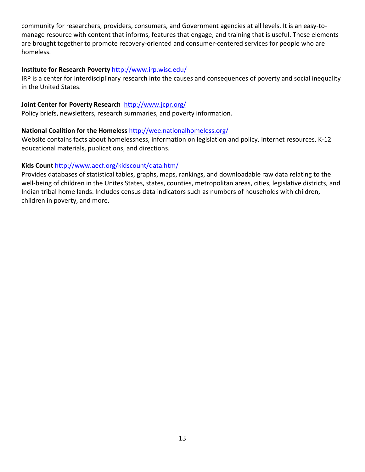community for researchers, providers, consumers, and Government agencies at all levels. It is an easy-tomanage resource with content that informs, features that engage, and training that is useful. These elements are brought together to promote recovery-oriented and consumer-centered services for people who are homeless.

### **Institute for Research Poverty** <http://www.irp.wisc.edu/>

IRP is a center for interdisciplinary research into the causes and consequences of poverty and social inequality in the United States.

## **Joint Center for Poverty Research** <http://www.jcpr.org/>

Policy briefs, newsletters, research summaries, and poverty information.

### **National Coalition for the Homeless** <http://wee.nationalhomeless.org/>

Website contains facts about homelessness, information on legislation and policy, Internet resources, K-12 educational materials, publications, and directions.

## **Kids Count** <http://www.aecf.org/kidscount/data.htm/>

Provides databases of statistical tables, graphs, maps, rankings, and downloadable raw data relating to the well-being of children in the Unites States, states, counties, metropolitan areas, cities, legislative districts, and Indian tribal home lands. Includes census data indicators such as numbers of households with children, children in poverty, and more.